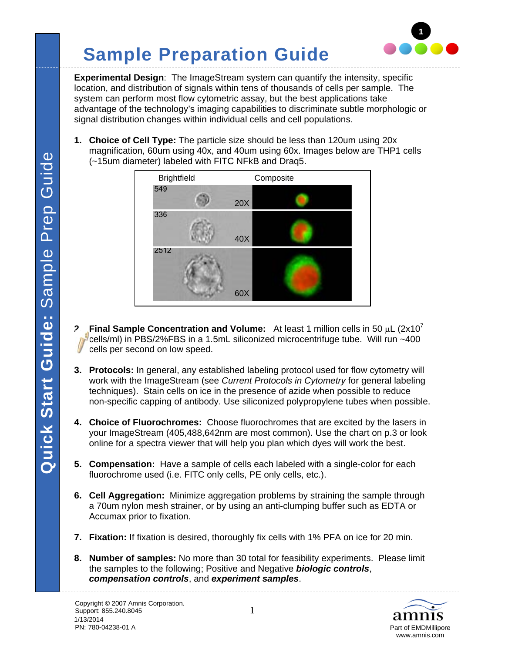# **Sample Preparation Guide**



**Experimental Design**: The ImageStream system can quantify the intensity, specific location, and distribution of signals within tens of thousands of cells per sample. The system can perform most flow cytometric assay, but the best applications take advantage of the technology's imaging capabilities to discriminate subtle morphologic or signal distribution changes within individual cells and cell populations.

**1. Choice of Cell Type:** The particle size should be less than 120um using 20x magnification, 60um using 40x, and 40um using 60x. Images below are THP1 cells (~15um diameter) labeled with FITC NFkB and Draq5.



- **2. Final Sample Concentration and Volume:** At least 1 million cells in 50  $\mu$ L (2x10<sup>7</sup>) cells/ml) in PBS/2%FBS in a 1.5mL siliconized microcentrifuge tube. Will run ~400 cells per second on low speed.
- **3. Protocols:** In general, any established labeling protocol used for flow cytometry will work with the ImageStream (see *Current Protocols in Cytometry* for general labeling techniques). Stain cells on ice in the presence of azide when possible to reduce non-specific capping of antibody. Use siliconized polypropylene tubes when possible.
- **4. Choice of Fluorochromes:** Choose fluorochromes that are excited by the lasers in your ImageStream (405,488,642nm are most common). Use the chart on p.3 or look online for a spectra viewer that will help you plan which dyes will work the best.
- **5. Compensation:** Have a sample of cells each labeled with a single-color for each fluorochrome used (i.e. FITC only cells, PE only cells, etc.).
- **6. Cell Aggregation:** Minimize aggregation problems by straining the sample through a 70um nylon mesh strainer, or by using an anti-clumping buffer such as EDTA or Accumax prior to fixation.
- **7. Fixation:** If fixation is desired, thoroughly fix cells with 1% PFA on ice for 20 min.
- **8. Number of samples:** No more than 30 total for feasibility experiments. Please limit the samples to the following; Positive and Negative *biologic controls*, *compensation controls*, and *experiment samples*.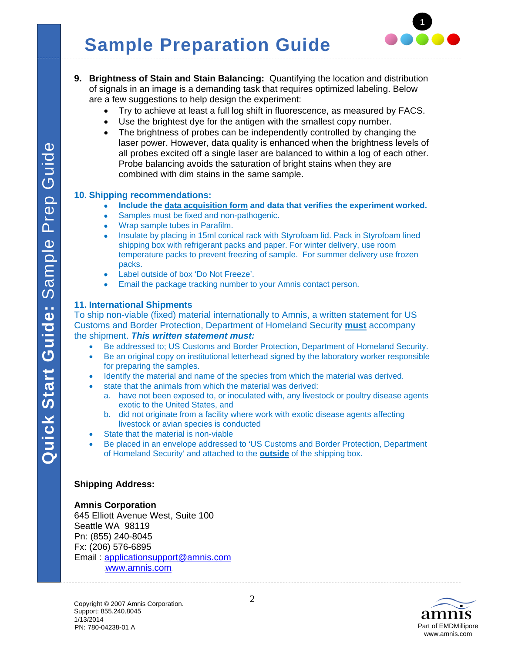

- **9. Brightness of Stain and Stain Balancing:** Quantifying the location and distribution of signals in an image is a demanding task that requires optimized labeling. Below are a few suggestions to help design the experiment:
	- Try to achieve at least a full log shift in fluorescence, as measured by FACS.
	- Use the brightest dye for the antigen with the smallest copy number.
	- The brightness of probes can be independently controlled by changing the laser power. However, data quality is enhanced when the brightness levels of all probes excited off a single laser are balanced to within a log of each other. Probe balancing avoids the saturation of bright stains when they are combined with dim stains in the same sample.

### **10. Shipping recommendations:**

- **Include the data acquisition form and data that verifies the experiment worked.**
- Samples must be fixed and non-pathogenic.
- Wrap sample tubes in Parafilm.
- Insulate by placing in 15ml conical rack with Styrofoam lid. Pack in Styrofoam lined shipping box with refrigerant packs and paper. For winter delivery, use room temperature packs to prevent freezing of sample. For summer delivery use frozen packs.
- Label outside of box 'Do Not Freeze'.
- **Email the package tracking number to your Amnis contact person.**

### **11. International Shipments**

To ship non-viable (fixed) material internationally to Amnis, a written statement for US Customs and Border Protection, Department of Homeland Security **must** accompany the shipment. *This written statement must:* 

- Be addressed to; US Customs and Border Protection, Department of Homeland Security.
- Be an original copy on institutional letterhead signed by the laboratory worker responsible for preparing the samples.
- Identify the material and name of the species from which the material was derived.
- state that the animals from which the material was derived:
	- a. have not been exposed to, or inoculated with, any livestock or poultry disease agents exotic to the United States, and
	- b. did not originate from a facility where work with exotic disease agents affecting livestock or avian species is conducted
- State that the material is non-viable
- Be placed in an envelope addressed to 'US Customs and Border Protection, Department of Homeland Security' and attached to the **outside** of the shipping box.

#### **Shipping Address:**

#### **Amnis Corporation**

645 Elliott Avenue West, Suite 100 Seattle WA 98119 Pn: (855) 240-8045 Fx: (206) 576-6895 Email : applicationsupport@amnis.com www.amnis.com